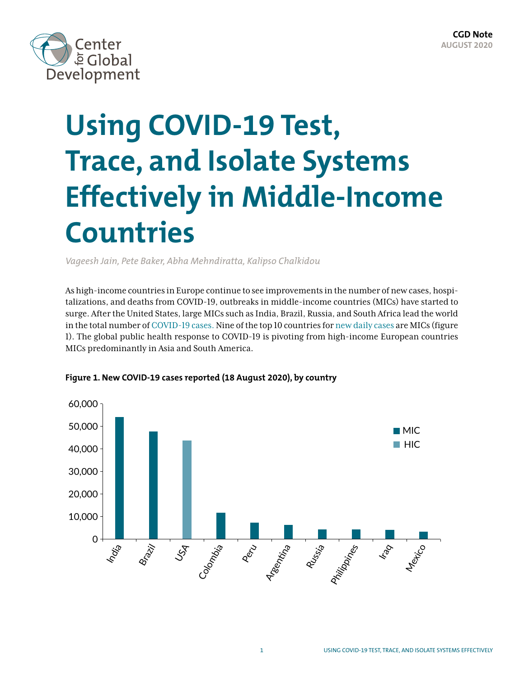

# **Using COVID-19 Test, Trace, and Isolate Systems Effectively in Middle-Income Countries**

*Vageesh Jain, Pete Baker, Abha Mehndiratta, Kalipso Chalkidou*

As high-income countries in Europe continue to see improvements in the number of new cases, hospitalizations, and deaths from COVID-19, outbreaks in middle-income countries (MICs) have started to surge. After the United States, large MICs such as India, Brazil, Russia, and South Africa lead the world in the total number of [COVID-19 cases.](https://www.worldometers.info/coronavirus/?utm_campaign=homeAdvegas1?%22%20%5Cl%20%22countri) Nine of the top 10 countries for [new daily cases](https://www.worldometers.info/coronavirus/?utm_campaign=homeAdvegas1?%22%20%5Cl%20%22countri) are MICs (figure 1). The global public health response to COVID-19 is pivoting from high-income European countries MICs predominantly in Asia and South America.



**Figure 1. New COVID-19 cases reported (18 August 2020), by country**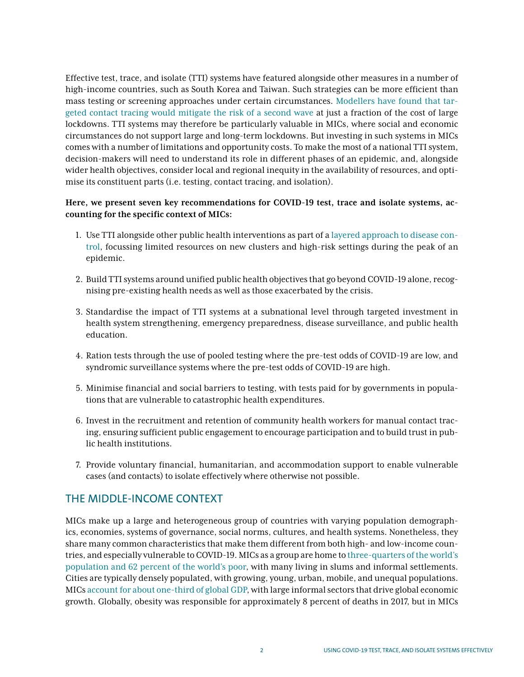Effective test, trace, and isolate (TTI) systems have featured alongside other measures in a number of high-income countries, such as South Korea and Taiwan. Such strategies can be more efficient than mass testing or screening approaches under certain circumstances. [Modellers have found that tar](https://www.medrxiv.org/content/10.1101/2020.05.29.20117010v1.full.pdf)[geted contact tracing would mitigate the risk of a second wave](https://www.medrxiv.org/content/10.1101/2020.05.29.20117010v1.full.pdf) at just a fraction of the cost of large lockdowns. TTI systems may therefore be particularly valuable in MICs, where social and economic circumstances do not support large and long-term lockdowns. But investing in such systems in MICs comes with a number of limitations and opportunity costs. To make the most of a national TTI system, decision-makers will need to understand its role in different phases of an epidemic, and, alongside wider health objectives, consider local and regional inequity in the availability of resources, and optimise its constituent parts (i.e. testing, contact tracing, and isolation).

## **Here, we present seven key recommendations for COVID-19 test, trace and isolate systems, accounting for the specific context of MICs:**

- 1. Use TTI alongside other public health interventions as part of a [layered approach to disease con](https://www.cgdev.org/blog/beyond-lockdown-sustainable-covid-control-lmics)[trol,](https://www.cgdev.org/blog/beyond-lockdown-sustainable-covid-control-lmics) focussing limited resources on new clusters and high-risk settings during the peak of an epidemic.
- 2. Build TTI systems around unified public health objectives that go beyond COVID-19 alone, recognising pre-existing health needs as well as those exacerbated by the crisis.
- 3. Standardise the impact of TTI systems at a subnational level through targeted investment in health system strengthening, emergency preparedness, disease surveillance, and public health education.
- 4. Ration tests through the use of pooled testing where the pre-test odds of COVID-19 are low, and syndromic surveillance systems where the pre-test odds of COVID-19 are high.
- 5. Minimise financial and social barriers to testing, with tests paid for by governments in populations that are vulnerable to catastrophic health expenditures.
- 6. Invest in the recruitment and retention of community health workers for manual contact tracing, ensuring sufficient public engagement to encourage participation and to build trust in public health institutions.
- 7. Provide voluntary financial, humanitarian, and accommodation support to enable vulnerable cases (and contacts) to isolate effectively where otherwise not possible.

## THE MIDDLE-INCOME CONTEXT

MICs make up a large and heterogeneous group of countries with varying population demographics, economies, systems of governance, social norms, cultures, and health systems. Nonetheless, they share many common characteristics that make them different from both high- and low-income countries, and especially vulnerable to COVID-19. MICs as a group are home to [three-quarters of the world's](https://www.worldbank.org/en/country/mic)  [population and 62 percent of the world's poor,](https://www.worldbank.org/en/country/mic) with many living in slums and informal settlements. Cities are typically densely populated, with growing, young, urban, mobile, and unequal populations. MICs [account for about one-third of global GDP,](https://worldpopulationreview.com/country-rankings/middle-income-countries) with large informal sectors that drive global economic growth. Globally, obesity was responsible for approximately 8 percent of deaths in 2017, but in MICs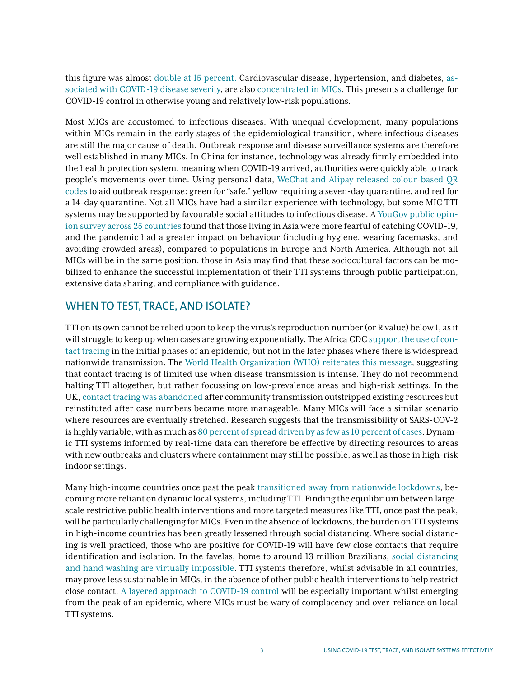this figure was almost [double at 15 percent.](https://ourworldindata.org/obesity) Cardiovascular disease, hypertension, and diabetes, [as](https://link.springer.com/article/10.1007/s00038-020-01390-7)[sociated with COVID-19 disease severity,](https://link.springer.com/article/10.1007/s00038-020-01390-7) are also [concentrated in MICs](https://www.ncbi.nlm.nih.gov/pmc/articles/PMC6843962/). This presents a challenge for COVID-19 control in otherwise young and relatively low-risk populations.

Most MICs are accustomed to infectious diseases. With unequal development, many populations within MICs remain in the early stages of the epidemiological transition, where infectious diseases are still the major cause of death. Outbreak response and disease surveillance systems are therefore well established in many MICs. In China for instance, technology was already firmly embedded into the health protection system, meaning when COVID-19 arrived, authorities were quickly able to track people's movements over time. Using personal data, [WeChat and Alipay released colour-based QR](https://www.amnesty.org/en/latest/news/2020/04/how-china-used-technology-to-combat-covid-19-and-tighten-its-grip-on-citizens/)  [codes](https://www.amnesty.org/en/latest/news/2020/04/how-china-used-technology-to-combat-covid-19-and-tighten-its-grip-on-citizens/) to aid outbreak response: green for "safe," yellow requiring a seven-day quarantine, and red for a 14-day quarantine. Not all MICs have had a similar experience with technology, but some MIC TTI systems may be supported by favourable social attitudes to infectious disease. A [YouGov public opin](https://yougov.co.uk/topics/health/articles-reports/2020/03/21/international-covid-19-tracker-how-public-opinion-)[ion survey across 25 countries](https://yougov.co.uk/topics/health/articles-reports/2020/03/21/international-covid-19-tracker-how-public-opinion-) found that those living in Asia were more fearful of catching COVID-19, and the pandemic had a greater impact on behaviour (including hygiene, wearing facemasks, and avoiding crowded areas), compared to populations in Europe and North America. Although not all MICs will be in the same position, those in Asia may find that these sociocultural factors can be mobilized to enhance the successful implementation of their TTI systems through public participation, extensive data sharing, and compliance with guidance.

## WHEN TO TEST, TRACE, AND ISOLATE?

TTI on its own cannot be relied upon to keep the virus's reproduction number (or R value) below 1, as it will struggle to keep up when cases are growing exponentially. The Africa CDC [support the use of con](https://africacdc.org/download/recommendations-for-stepwise-response-to-covid-19/)[tact tracing](https://africacdc.org/download/recommendations-for-stepwise-response-to-covid-19/) in the initial phases of an epidemic, but not in the later phases where there is widespread nationwide transmission. The [World Health Organization \(WHO\) reiterates this message](https://www.who.int/publications/i/item/contact-tracing-in-the-context-of-covid-19), suggesting that contact tracing is of limited use when disease transmission is intense. They do not recommend halting TTI altogether, but rather focussing on low-prevalence areas and high-risk settings. In the UK, [contact tracing was abandoned](https://www.bmj.com/content/369/bmj.m1859) after community transmission outstripped existing resources but reinstituted after case numbers became more manageable. Many MICs will face a similar scenario where resources are eventually stretched. Research suggests that the transmissibility of SARS-COV-2 is highly variable, with as much as [80 percent of spread driven by as few as 10 percent of cases](https://www.sciencemag.org/news/2020/05/why-do-some-covid-19-patients-infect-many-others-whereas-most-don-t-spread-virus-all). Dynamic TTI systems informed by real-time data can therefore be effective by directing resources to areas with new outbreaks and clusters where containment may still be possible, as well as those in high-risk indoor settings.

Many high-income countries once past the peak [transitioned away from nationwide lockdowns](https://www.euro.who.int/en/health-topics/health-emergencies/coronavirus-covid-19/technical-guidance/2020/strengthening-and-adjusting-public-health-measures-throughout-the-covid-19-transition-phases.-policy-considerations-for-the-who-european-region,-24-april-2020), becoming more reliant on dynamic local systems, including TTI. Finding the equilibrium between largescale restrictive public health interventions and more targeted measures like TTI, once past the peak, will be particularly challenging for MICs. Even in the absence of lockdowns, the burden on TTI systems in high-income countries has been greatly lessened through social distancing. Where social distancing is well practiced, those who are positive for COVID-19 will have few close contacts that require identification and isolation. In the favelas, home to around 13 million Brazilians, [social distancing](https://www.thelancet.com/journals/laninf/article/PIIS1473-3099(20)30303-0/fulltext)  [and hand washing are virtually impossible.](https://www.thelancet.com/journals/laninf/article/PIIS1473-3099(20)30303-0/fulltext) TTI systems therefore, whilst advisable in all countries, may prove less sustainable in MICs, in the absence of other public health interventions to help restrict close contact. [A layered approach to COVID-19 control](https://www.cgdev.org/blog/beyond-lockdown-sustainable-covid-control-lmics) will be especially important whilst emerging from the peak of an epidemic, where MICs must be wary of complacency and over-reliance on local TTI systems.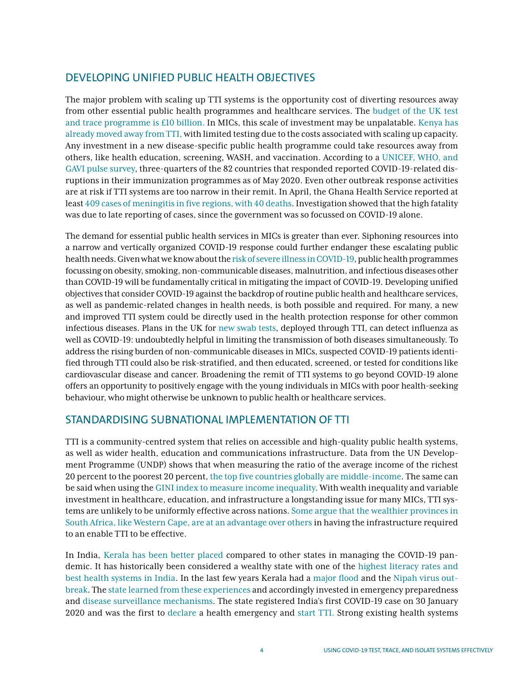# DEVELOPING UNIFIED PUBLIC HEALTH OBJECTIVES

The major problem with scaling up TTI systems is the opportunity cost of diverting resources away from other essential public health programmes and healthcare services. The [budget of the UK test](https://www.independent.co.uk/news/uk/politics/coronavirus-test-and-trace-system-england-government-budget-a9608656.html)  [and trace programme is £10 billion.](https://www.independent.co.uk/news/uk/politics/coronavirus-test-and-trace-system-england-government-budget-a9608656.html) In MICs, this scale of investment may be unpalatable. [Kenya has](https://www.pd.co.ke/news/blow-to-covid-19-fight-as-government-abandons-testing-44287/)  [already moved away from TTI,](https://www.pd.co.ke/news/blow-to-covid-19-fight-as-government-abandons-testing-44287/) with limited testing due to the costs associated with scaling up capacity. Any investment in a new disease-specific public health programme could take resources away from others, like health education, screening, WASH, and vaccination. According to a [UNICEF, WHO, and](https://www.who.int/immunization/monitoring_surveillance/immunization-and-covid-19/en/)  [GAVI pulse survey,](https://www.who.int/immunization/monitoring_surveillance/immunization-and-covid-19/en/) three-quarters of the 82 countries that responded reported COVID-19-related disruptions in their immunization programmes as of May 2020. Even other outbreak response activities are at risk if TTI systems are too narrow in their remit. In April, the Ghana Health Service reported at least [409 cases of meningitis in five regions, with 40 deaths.](https://www.brookings.edu/blog/future-development/2020/07/28/how-well-is-ghana-with-one-of-the-best-testing-capacities-in-africa-responding-to-covid-19/) Investigation showed that the high fatality was due to late reporting of cases, since the government was so focussed on COVID-19 alone.

The demand for essential public health services in MICs is greater than ever. Siphoning resources into a narrow and vertically organized COVID-19 response could further endanger these escalating public health needs. Given what we know about the [risk of severe illness in COVID-19,](https://www.cdc.gov/coronavirus/2019-ncov/need-extra-precautions/people-with-medical-conditions.html) public health programmes focussing on obesity, smoking, non-communicable diseases, malnutrition, and infectious diseases other than COVID-19 will be fundamentally critical in mitigating the impact of COVID-19. Developing unified objectives that consider COVID-19 against the backdrop of routine public health and healthcare services, as well as pandemic-related changes in health needs, is both possible and required. For many, a new and improved TTI system could be directly used in the health protection response for other common infectious diseases. Plans in the UK for [new swab tests](https://www.bbc.co.uk/news/uk-53632043), deployed through TTI, can detect influenza as well as COVID-19: undoubtedly helpful in limiting the transmission of both diseases simultaneously. To address the rising burden of non-communicable diseases in MICs, suspected COVID-19 patients identified through TTI could also be risk-stratified, and then educated, screened, or tested for conditions like cardiovascular disease and cancer. Broadening the remit of TTI systems to go beyond COVID-19 alone offers an opportunity to positively engage with the young individuals in MICs with poor health-seeking behaviour, who might otherwise be unknown to public health or healthcare services.

## STANDARDISING SUBNATIONAL IMPLEMENTATION OF TTI

TTI is a community-centred system that relies on accessible and high-quality public health systems, as well as wider health, education and communications infrastructure. Data from the UN Development Programme (UNDP) shows that when measuring the ratio of the average income of the richest 20 percent to the poorest 20 percent, [the top five countries globally are middle-income.](http://hdr.undp.org/en/indicators/135106) The same can be said when using the [GINI index to measure income inequality.](https://data.worldbank.org/indicator/SI.POV.GINI/) With wealth inequality and variable investment in healthcare, education, and infrastructure a longstanding issue for many MICs, TTI systems are unlikely to be uniformly effective across nations. [Some argue that the wealthier provinces in](https://www.telegraph.co.uk/global-health/science-and-disease/fears-coronavirus-surge-south-africa-goes-back-work/)  [South Africa, like Western Cape, are at an advantage over others](https://www.telegraph.co.uk/global-health/science-and-disease/fears-coronavirus-surge-south-africa-goes-back-work/) in having the infrastructure required to an enable TTI to be effective.

In India, [Kerala has been better placed](https://www.thebetterindia.com/220706/coronavirus-india-covid19-kerala-ias-hero-doctor-rajeev-sadanandan-nipah-india-nor41/)  compared to other states in managing the COVID-19 pandemic. It has historically been considered a wealthy state with one of the [highest literacy rates and](https://www.moneycontrol.com/news/business/wire-news/-2030505.html)  [best health systems in India](https://www.moneycontrol.com/news/business/wire-news/-2030505.html). In the last few years Kerala had a [major flood](https://en.wikipedia.org/wiki/2018_Kerala_floods) and the [Nipah virus out](https://www.who.int/southeastasia/outbreaks-and-emergencies/health-emergency-information-risk-assessment/surveillance-and-risk-assessment/nipah-virus-outbreak-in-kerala)[break](https://www.who.int/southeastasia/outbreaks-and-emergencies/health-emergency-information-risk-assessment/surveillance-and-risk-assessment/nipah-virus-outbreak-in-kerala). The [state learned from these experiences a](https://www.who.int/india/news/feature-stories/detail/responding-to-covid-19---learnings-from-kerala)nd accordingly invested in emergency preparedness and [disease surveillance mechanisms.](https://journals.plos.org/plosntds/article?id=10.1371/journal.pntd.0007393) The state registered India's first COVID-19 case on 30 January 2020 and was the first to [declare](https://sdma.kerala.gov.in/wp-content/uploads/2020/03/4-02-2020_compressed.pdf) a health emergency and [start TTI.](https://www.newindianexpress.com/states/kerala/2020/may/21/how-kerala-mastered-the-art-of-contact-tracing-to-fight-covid-19-save-lives-2146294.html) Strong existing health systems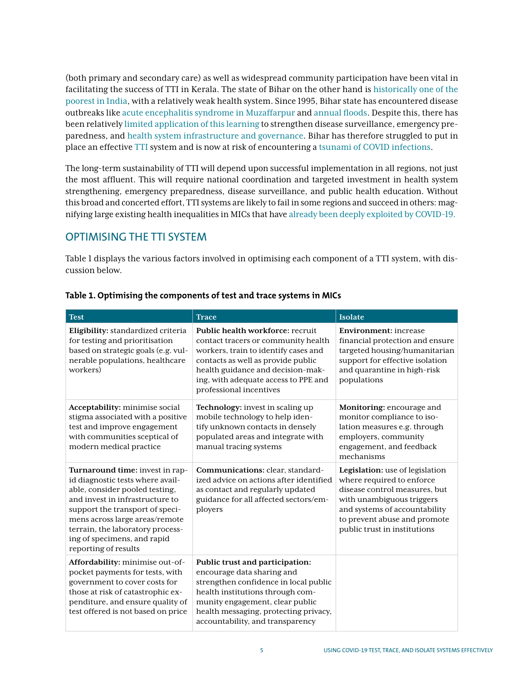(both primary and secondary care) as well as widespread community participation have been vital in facilitating the success of TTI in Kerala. The state of Bihar on the other hand is [historically one of the](https://www.worldbank.org/en/news/feature/2010/03/10/bihar-indias-poorest-state-begins-to-turn-around)  [poorest in India,](https://www.worldbank.org/en/news/feature/2010/03/10/bihar-indias-poorest-state-begins-to-turn-around) with a relatively weak health system. Since 1995, Bihar state has encountered disease outbreaks like acute encephalitis syndrome in Muzaffarpur and [annual floods](https://en.wikipedia.org/wiki/Floods_in_Bihar). Despite this, there has been relatively [limited application of this learning](https://www.ncbi.nlm.nih.gov/pmc/articles/PMC5644291/) to strengthen disease surveillance, emergency preparedness, and [health system infrastructure and governance.](https://science.thewire.in/health/covid-19-why-does-bihars-public-healthcare-system-struggle-so/) Bihar has therefore struggled to put in place an effective [TTI](https://scroll.in/article/968202/as-covid-19-cases-surge-bihars-health-system-collapses-and-vip-culture-makes-things-worse) system and is now at risk of encountering a [tsunami of COVID infections](https://www.bbc.com/news/world-asia-india-53527094).

The long-term sustainability of TTI will depend upon successful implementation in all regions, not just the most affluent. This will require national coordination and targeted investment in health system strengthening, emergency preparedness, disease surveillance, and public health education. Without this broad and concerted effort, TTI systems are likely to fail in some regions and succeed in others: magnifying large existing health inequalities in MICs that have [already been deeply exploited by COVID-19.](https://www.health.org.uk/news-and-comment/blogs/emerging-evidence-on-health-inequalities-and-covid-19-may-2020)

# OPTIMISING THE TTI SYSTEM

Table 1 displays the various factors involved in optimising each component of a TTI system, with discussion below.

| <b>Test</b>                                                                                                                                                                                                                                                                                              | <b>Trace</b>                                                                                                                                                                                                                                                  | <b>Isolate</b>                                                                                                                                                                                                              |
|----------------------------------------------------------------------------------------------------------------------------------------------------------------------------------------------------------------------------------------------------------------------------------------------------------|---------------------------------------------------------------------------------------------------------------------------------------------------------------------------------------------------------------------------------------------------------------|-----------------------------------------------------------------------------------------------------------------------------------------------------------------------------------------------------------------------------|
| Eligibility: standardized criteria<br>for testing and prioritisation<br>based on strategic goals (e.g. vul-<br>nerable populations, healthcare<br>workers)                                                                                                                                               | Public health workforce: recruit<br>contact tracers or community health<br>workers, train to identify cases and<br>contacts as well as provide public<br>health guidance and decision-mak-<br>ing, with adequate access to PPE and<br>professional incentives | <b>Environment:</b> increase<br>financial protection and ensure<br>targeted housing/humanitarian<br>support for effective isolation<br>and quarantine in high-risk<br>populations                                           |
| Acceptability: minimise social<br>stigma associated with a positive<br>test and improve engagement<br>with communities sceptical of<br>modern medical practice                                                                                                                                           | Technology: invest in scaling up<br>mobile technology to help iden-<br>tify unknown contacts in densely<br>populated areas and integrate with<br>manual tracing systems                                                                                       | Monitoring: encourage and<br>monitor compliance to iso-<br>lation measures e.g. through<br>employers, community<br>engagement, and feedback<br>mechanisms                                                                   |
| Turnaround time: invest in rap-<br>id diagnostic tests where avail-<br>able, consider pooled testing,<br>and invest in infrastructure to<br>support the transport of speci-<br>mens across large areas/remote<br>terrain, the laboratory process-<br>ing of specimens, and rapid<br>reporting of results | Communications: clear, standard-<br>ized advice on actions after identified<br>as contact and regularly updated<br>guidance for all affected sectors/em-<br>ployers                                                                                           | Legislation: use of legislation<br>where required to enforce<br>disease control measures, but<br>with unambiguous triggers<br>and systems of accountability<br>to prevent abuse and promote<br>public trust in institutions |
| Affordability: minimise out-of-<br>pocket payments for tests, with<br>government to cover costs for<br>those at risk of catastrophic ex-<br>penditure, and ensure quality of<br>test offered is not based on price                                                                                       | Public trust and participation:<br>encourage data sharing and<br>strengthen confidence in local public<br>health institutions through com-<br>munity engagement, clear public<br>health messaging, protecting privacy,<br>accountability, and transparency    |                                                                                                                                                                                                                             |

## **Table 1. Optimising the components of test and trace systems in MICs**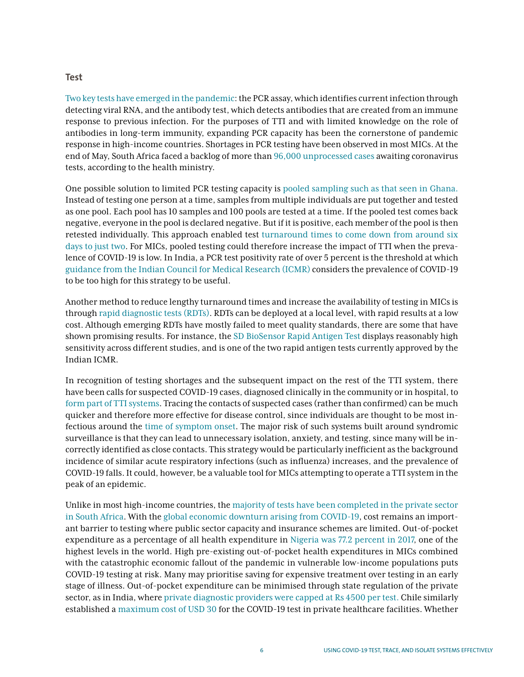#### **Test**

[Two key tests have emerged in the pandemic](https://openknowledge.worldbank.org/handle/10986/33583): the PCR assay, which identifies current infection through detecting viral RNA, and the antibody test, which detects antibodies that are created from an immune response to previous infection. For the purposes of TTI and with limited knowledge on the role of antibodies in long-term immunity, expanding PCR capacity has been the cornerstone of pandemic response in high-income countries. Shortages in PCR testing have been observed in most MICs. At the end of May, South Africa faced a backlog of more than [96,000 unprocessed cases](https://www.reuters.com/article/us-health-coronavirus-safrica-testkits/south-african-firm-aims-to-plug-covid-19-test-kits-shortage-as-virus-spreads-idUSKBN24014O) awaiting coronavirus tests, according to the health ministry.

One possible solution to limited PCR testing capacity is [pooled sampling such as that seen in Ghana.](https://www.un.org/africarenewal/news/pooling-samples-boosts-ghana%E2%80%99s-covid-19-testing) Instead of testing one person at a time, samples from multiple individuals are put together and tested as one pool. Each pool has 10 samples and 100 pools are tested at a time. If the pooled test comes back negative, everyone in the pool is declared negative. But if it is positive, each member of the pool is then retested individually. This approach enabled test [turnaround times to come down from around six](https://www.un.org/africarenewal/news/pooling-samples-boosts-ghana%E2%80%99s-covid-19-testing)  [days to just two](https://www.un.org/africarenewal/news/pooling-samples-boosts-ghana%E2%80%99s-covid-19-testing). For MICs, pooled testing could therefore increase the impact of TTI when the prevalence of COVID-19 is low. In India, a PCR test positivity rate of over 5 percent is the threshold at which [guidance from the Indian Council for Medical Research \(ICMR\)](https://www.thehindu.com/sci-tech/health/the-hindu-explains-institutions-may-save-money-and-time-with-pool-testing-protocols/article31935474.ece) considers the prevalence of COVID-19 to be too high for this strategy to be useful.

Another method to reduce lengthy turnaround times and increase the availability of testing in MICs is through [rapid diagnostic tests \(RDTs\).](https://www.cgdev.org/publication/indias-covid-19-testing-capacity-must-grow-factor-10-heres-how-can-happen) RDTs can be deployed at a local level, with rapid results at a low cost. Although emerging RDTs have mostly failed to meet quality standards, there are some that have shown promising results. For instance, the [SD BioSensor Rapid Antigen Test](https://www.accessdata.fda.gov/cdrh_docs/presentations/maf/maf3274-a001.pdf) displays reasonably high sensitivity across different studies, and is one of the two rapid antigen tests currently approved by the Indian ICMR.

In recognition of testing shortages and the subsequent impact on the rest of the TTI system, there have been calls for suspected COVID-19 cases, diagnosed clinically in the community or in hospital, to [form part of TTI systems](https://www.bmj.com/content/370/bmj.m3055). Tracing the contacts of suspected cases (rather than confirmed) can be much quicker and therefore more effective for disease control, since individuals are thought to be most infectious around the [time of symptom onset](https://www.cdc.gov/coronavirus/2019-ncov/hcp/duration-isolation.html). The major risk of such systems built around syndromic surveillance is that they can lead to unnecessary isolation, anxiety, and testing, since many will be incorrectly identified as close contacts. This strategy would be particularly inefficient as the background incidence of similar acute respiratory infections (such as influenza) increases, and the prevalence of COVID-19 falls. It could, however, be a valuable tool for MICs attempting to operate a TTI system in the peak of an epidemic.

Unlike in most high-income countries, the [majority of tests have been completed in the private sector](https://sacoronavirus.co.za/2020/06/28/update-on-covid-19-28th-june-2020/)  [in South Africa](https://sacoronavirus.co.za/2020/06/28/update-on-covid-19-28th-june-2020/). With the [global economic downturn arising from COVID-19,](https://www.bbc.co.uk/news/business-51706225) cost remains an important barrier to testing where public sector capacity and insurance schemes are limited. Out-of-pocket expenditure as a percentage of all health expenditure in [Nigeria was 77.2 percent in 2017,](https://data.worldbank.org/indicator/SH.XPD.OOPC.CH.ZS?most_recent_value_desc=true) one of the highest levels in the world. High pre-existing out-of-pocket health expenditures in MICs combined with the catastrophic economic fallout of the pandemic in vulnerable low-income populations puts COVID-19 testing at risk. Many may prioritise saving for expensive treatment over testing in an early stage of illness. Out-of-pocket expenditure can be minimised through state regulation of the private sector, as in India, where [private diagnostic providers were capped at Rs 4500 per test.](https://www.livemint.com/news/india/icmr-mulls-cap-on-covid-19-test-charges-at-private-hospitals-diagnostic-centres-11593948676963.html)) Chile similarly established a [maximum cost of USD 30](https://www.oecd.org/coronavirus/policy-responses/covid-19-in-latin-america-and-the-caribbean-an-overview-of-government-responses-to-the-crisis-0a2dee41/) for the COVID-19 test in private healthcare facilities. Whether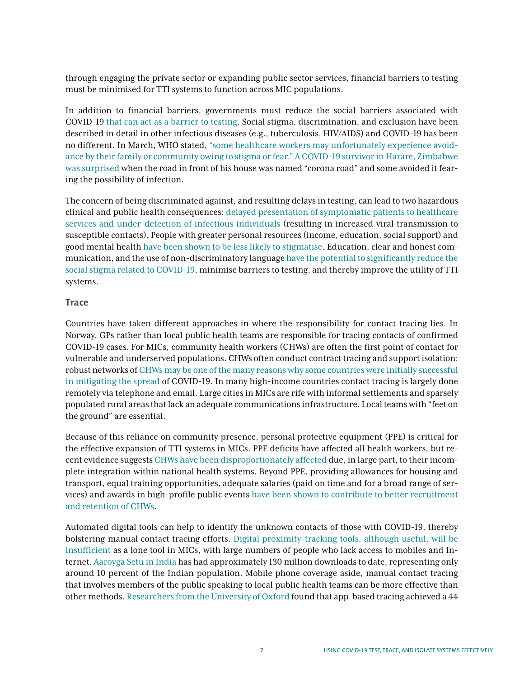through engaging the private sector or expanding public sector services, financial barriers to testing must be minimised for TTI systems to function across MIC populations.

In addition to financial barriers, governments must reduce the social barriers associated with COVID-19 [that can act as a barrier to testing](https://erj.ersjournals.com/content/early/2020/06/25/13993003.02461-2020). Social stigma, discrimination, and exclusion have been described in detail in other infectious diseases (e.g., tuberculosis, HIV/AIDS) and COVID-19 has been no different. In March, WHO stated, ["some healthcare workers may unfortunately experience avoid](https://www.thelancet.com/pdfs/journals/laninf/PIIS1473-3099(20)30498-9.pdf)[ance by their family or community owing to stigma or fear."](https://www.thelancet.com/pdfs/journals/laninf/PIIS1473-3099(20)30498-9.pdf) [A COVID-19 survivor in Harare, Zimbabwe](https://www.thelancet.com/pdfs/journals/laninf/PIIS1473-3099(20)30498-9.pdf)  [was surprised](https://www.thelancet.com/pdfs/journals/laninf/PIIS1473-3099(20)30498-9.pdf) when the road in front of his house was named "corona road" and some avoided it fearing the possibility of infection.

The concern of being discriminated against, and resulting delays in testing, can lead to two hazardous clinical and public health consequences: [delayed presentation of symptomatic patients to healthcare](https://www.aimspress.com/fileOther/PDF/MBE/mbe-17-03-149.pdf)  [services and under-detection of infectious individuals](https://www.aimspress.com/fileOther/PDF/MBE/mbe-17-03-149.pdf) (resulting in increased viral transmission to susceptible contacts). People with greater personal resources (income, education, social support) and good mental health [have been shown to be less likely to stigmatise.](https://www.ncbi.nlm.nih.gov/pmc/articles/PMC1470501/) Education, clear and honest communication, and the use of non-discriminatory language [have the potential to significantly reduce the](https://read.dukeupress.edu/jhppl/article/doi/10.1215/03616878-8641506/165291/The-Emergence-of-COVID-19-in-the-U-S-A-Public)  [social stigma related to COVID-19,](https://read.dukeupress.edu/jhppl/article/doi/10.1215/03616878-8641506/165291/The-Emergence-of-COVID-19-in-the-U-S-A-Public) minimise barriers to testing, and thereby improve the utility of TTI systems.

### **Trace**

Countries have taken different approaches in where the responsibility for contact tracing lies. In Norway, GPs rather than local public health teams are responsible for tracing contacts of confirmed COVID-19 cases. For MICs, community health workers (CHWs) are often the first point of contact for vulnerable and underserved populations. CHWs often conduct contract tracing and support isolation: robust networks of [CHWs may be one of the many reasons why some countries were initially successful](https://www.newyorker.com/news/news-desk/what-african-nations-are-teaching-the-west-about-fighting-the-coronavirus)  [in mitigating the spread](https://www.newyorker.com/news/news-desk/what-african-nations-are-teaching-the-west-about-fighting-the-coronavirus) of COVID-19. In many high-income countries contact tracing is largely done remotely via telephone and email. Large cities in MICs are rife with informal settlements and sparsely populated rural areas that lack an adequate communications infrastructure. Local teams with "feet on the ground" are essential.

Because of this reliance on community presence, personal protective equipment (PPE) is critical for the effective expansion of TTI systems in MICs. PPE deficits have affected all health workers, but recent evidence suggests [CHWs have been disproportionately affected d](https://www.cgdev.org/publication/protecting-community-health-workers-ppe-needs-and-recommendations-policy-action)ue, in large part, to their incomplete integration within national health systems. Beyond PPE, providing allowances for housing and transport, equal training opportunities, adequate salaries (paid on time and for a broad range of services) and awards in high-profile public events [have been shown to contribute to better recruitment](https://www.ncbi.nlm.nih.gov/pmc/articles/PMC7292038/)  [and retention of CHWs](https://www.ncbi.nlm.nih.gov/pmc/articles/PMC7292038/).

Automated digital tools can help to identify the unknown contacts of those with COVID-19, thereby bolstering manual contact tracing efforts. [Digital proximity-tracking tools, although useful, will be](https://www.idinsight.org/reports-2/using-digital-contact-tracing-tools-to-reduce-the-spread-of-covid-19)  [insufficient](https://www.idinsight.org/reports-2/using-digital-contact-tracing-tools-to-reduce-the-spread-of-covid-19) as a lone tool in MICs, with large numbers of people who lack access to mobiles and Internet. [Aaroyga Setu in India](https://www.indiatoday.in/technology/news/story/aarogya-setu-now-world-s-most-downloaded-covid-19-tracking-app-1701273-2020-07-16) has had approximately 130 million downloads to date, representing only around 10 percent of the Indian population. Mobile phone coverage aside, manual contact tracing that involves members of the public speaking to local public health teams can be more effective than other methods. [Researchers from the University of Oxford](https://www.thelancet.com/journals/laninf/article/PIIS1473-3099(20)30457-6/fulltext) found that app-based tracing achieved a 44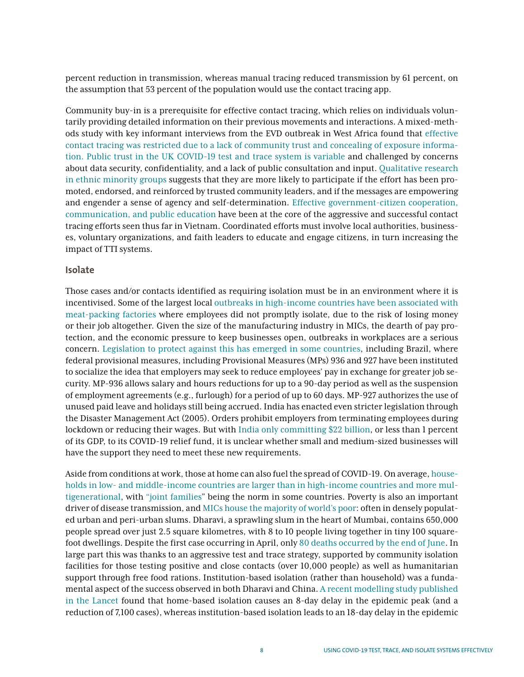percent reduction in transmission, whereas manual tracing reduced transmission by 61 percent, on the assumption that 53 percent of the population would use the contact tracing app.

Community buy-in is a prerequisite for effective contact tracing, which relies on individuals voluntarily providing detailed information on their previous movements and interactions. A mixed-methods study with key informant interviews from the EVD outbreak in West Africa found that [effective](https://www.mendeley.com/catalogue/fdd168a8-4755-3c25-aa61-0d8c33e05268/)  [contact tracing was restricted due to a lack of community trust and concealing of exposure informa](https://www.mendeley.com/catalogue/fdd168a8-4755-3c25-aa61-0d8c33e05268/)[tion.](https://www.mendeley.com/catalogue/fdd168a8-4755-3c25-aa61-0d8c33e05268/) [Public trust in the UK COVID-19 test and trace system is variable](https://www.independentsage.org/wp-content/uploads/2020/06/IndependentSAGE-report-4.pdf) and challenged by concerns about data security, confidentiality, and a lack of public consultation and input. [Qualitative research](https://www.prnewswire.com/news-releases/new-report-governments-should-address-devastating-impact-of-covid-19-on-communities-of-color-with-focused-contact-tracing-campaigns-community-engagement-301106621.html)  [in ethnic minority groups](https://www.prnewswire.com/news-releases/new-report-governments-should-address-devastating-impact-of-covid-19-on-communities-of-color-with-focused-contact-tracing-campaigns-community-engagement-301106621.html) suggests that they are more likely to participate if the effort has been promoted, endorsed, and reinforced by trusted community leaders, and if the messages are empowering and engender a sense of agency and self-determination. [Effective government-citizen cooperation,](https://www.aspistrategist.org.au/vietnams-low-cost-covid-19-strategy/)  [communication, and public education](https://www.aspistrategist.org.au/vietnams-low-cost-covid-19-strategy/) have been at the core of the aggressive and successful contact tracing efforts seen thus far in Vietnam. Coordinated efforts must involve local authorities, businesses, voluntary organizations, and faith leaders to educate and engage citizens, in turn increasing the impact of TTI systems.

#### **Isolate**

Those cases and/or contacts identified as requiring isolation must be in an environment where it is incentivised. Some of the largest local [outbreaks in high-income countries have been associated with](https://www.bbc.co.uk/news/53137613)  [meat-packing factories](https://www.bbc.co.uk/news/53137613) where employees did not promptly isolate, due to the risk of losing money or their job altogether. Given the size of the manufacturing industry in MICs, the dearth of pay protection, and the economic pressure to keep businesses open, outbreaks in workplaces are a serious concern. [Legislation to protect against this has emerged in some countries](https://www.natlawreview.com/article/brazil-and-india-act-to-protect-employers-and-employees-during-covid-19-pandemic), including Brazil, where federal provisional measures, including Provisional Measures (MPs) 936 and 927 have been instituted to socialize the idea that employers may seek to reduce employees' pay in exchange for greater job security. MP-936 allows salary and hours reductions for up to a 90-day period as well as the suspension of employment agreements (e.g., furlough) for a period of up to 60 days. MP-927 authorizes the use of unused paid leave and holidays still being accrued. India has enacted even stricter legislation through the Disaster Management Act (2005). Orders prohibit employers from terminating employees during lockdown or reducing their wages. But with [India only committing \\$22 billion,](https://www.theigc.org/wp-content/uploads/2020/04/Vazirelli-2020-policy-brief.pdf) or less than 1 percent of its GDP, to its COVID-19 relief fund, it is unclear whether small and medium-sized businesses will have the support they need to meet these new requirements.

Aside from conditions at work, those at home can also fuel the spread of COVID-19. On average, [house](https://www.un.org/en/development/desa/population/publications/pdf/ageing/household_size_and_composition_around_the_world_2017_data_booklet.pdf)[holds in low- and middle-income countries are larger than in high-income countries and more mul](https://www.un.org/en/development/desa/population/publications/pdf/ageing/household_size_and_composition_around_the_world_2017_data_booklet.pdf)[tigenerational](https://www.un.org/en/development/desa/population/publications/pdf/ageing/household_size_and_composition_around_the_world_2017_data_booklet.pdf), with "joint families" being the norm in some countries. Poverty is also an important driver of disease transmission, and [MICs house the majority of world's poor](https://www.worldbank.org/en/country/mic/overview): often in densely populated urban and peri-urban slums. Dharavi, a sprawling slum in the heart of Mumbai, contains 650,000 people spread over just 2.5 square kilometres, with 8 to 10 people living together in tiny 100 squarefoot dwellings. Despite the first case occurring in April, only [80 deaths occurred by the end of June](https://www.bbc.co.uk/news/world-asia-india-53133843). In large part this was thanks to an aggressive test and trace strategy, supported by community isolation facilities for those testing positive and close contacts (over 10,000 people) as well as humanitarian support through free food rations. Institution-based isolation (rather than household) was a fundamental aspect of the success observed in both Dharavi and China. [A recent modelling study published](https://www.thelancet.com/pdfs/journals/lancet/PIIS0140-6736(20)31016-3.pdf)  [in the Lancet](https://www.thelancet.com/pdfs/journals/lancet/PIIS0140-6736(20)31016-3.pdf) found that home-based isolation causes an 8-day delay in the epidemic peak (and a reduction of 7,100 cases), whereas institution-based isolation leads to an 18-day delay in the epidemic